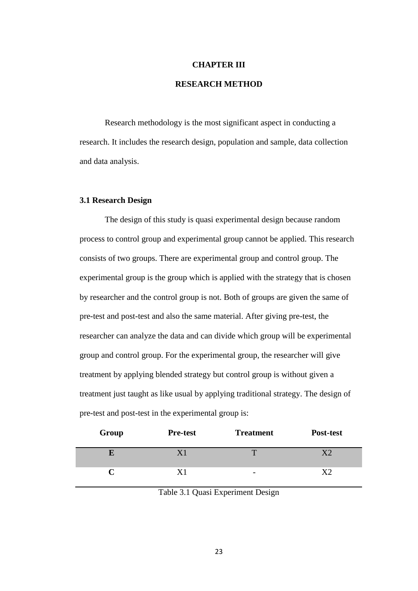#### **CHAPTER III**

## **RESEARCH METHOD**

Research methodology is the most significant aspect in conducting a research. It includes the research design, population and sample, data collection and data analysis.

#### **3.1 Research Design**

The design of this study is quasi experimental design because random process to control group and experimental group cannot be applied. This research consists of two groups. There are experimental group and control group. The experimental group is the group which is applied with the strategy that is chosen by researcher and the control group is not. Both of groups are given the same of pre-test and post-test and also the same material. After giving pre-test, the researcher can analyze the data and can divide which group will be experimental group and control group. For the experimental group, the researcher will give treatment by applying blended strategy but control group is without given a treatment just taught as like usual by applying traditional strategy. The design of pre-test and post-test in the experimental group is:

| Group | <b>Pre-test</b> | <b>Treatment</b>         | Post-test |
|-------|-----------------|--------------------------|-----------|
|       |                 |                          |           |
|       |                 | $\overline{\phantom{a}}$ |           |

Table 3.1 Quasi Experiment Design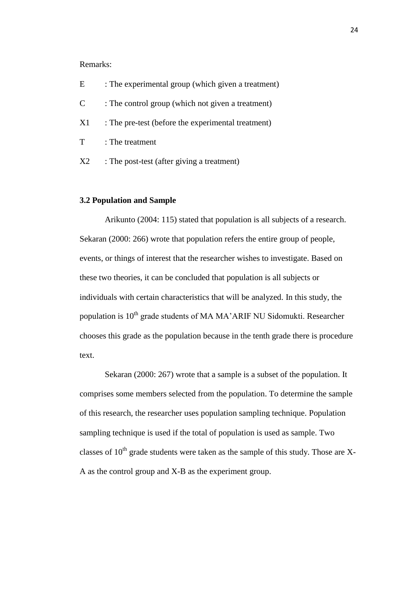### Remarks:

| E              | : The experimental group (which given a treatment) |
|----------------|----------------------------------------------------|
| $\mathcal{C}$  | : The control group (which not given a treatment)  |
| X1             | : The pre-test (before the experimental treatment) |
| T              | : The treatment                                    |
| X <sub>2</sub> | : The post-test (after giving a treatment)         |

# **3.2 Population and Sample**

Arikunto (2004: 115) stated that population is all subjects of a research. Sekaran (2000: 266) wrote that population refers the entire group of people, events, or things of interest that the researcher wishes to investigate. Based on these two theories, it can be concluded that population is all subjects or individuals with certain characteristics that will be analyzed. In this study, the population is  $10^{th}$  grade students of MA MA'ARIF NU Sidomukti. Researcher chooses this grade as the population because in the tenth grade there is procedure text.

Sekaran (2000: 267) wrote that a sample is a subset of the population. It comprises some members selected from the population. To determine the sample of this research, the researcher uses population sampling technique. Population sampling technique is used if the total of population is used as sample. Two classes of  $10^{th}$  grade students were taken as the sample of this study. Those are X-A as the control group and X-B as the experiment group.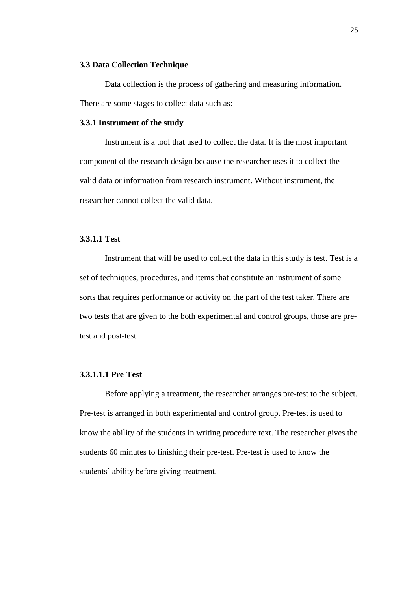#### **3.3 Data Collection Technique**

Data collection is the process of gathering and measuring information. There are some stages to collect data such as:

## **3.3.1 Instrument of the study**

Instrument is a tool that used to collect the data. It is the most important component of the research design because the researcher uses it to collect the valid data or information from research instrument. Without instrument, the researcher cannot collect the valid data.

#### **3.3.1.1 Test**

Instrument that will be used to collect the data in this study is test. Test is a set of techniques, procedures, and items that constitute an instrument of some sorts that requires performance or activity on the part of the test taker. There are two tests that are given to the both experimental and control groups, those are pretest and post-test.

### **3.3.1.1.1 Pre-Test**

Before applying a treatment, the researcher arranges pre-test to the subject. Pre-test is arranged in both experimental and control group. Pre-test is used to know the ability of the students in writing procedure text. The researcher gives the students 60 minutes to finishing their pre-test. Pre-test is used to know the students' ability before giving treatment.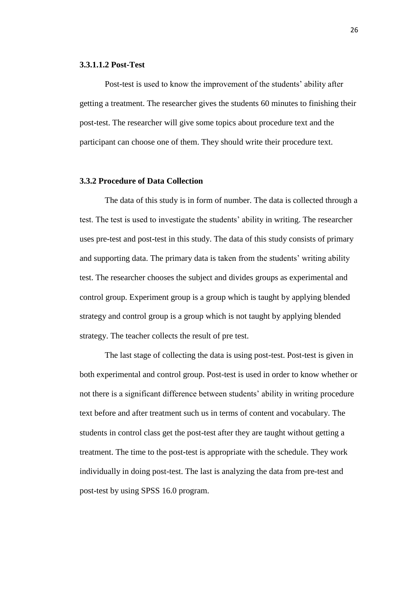#### **3.3.1.1.2 Post-Test**

Post-test is used to know the improvement of the students' ability after getting a treatment. The researcher gives the students 60 minutes to finishing their post-test. The researcher will give some topics about procedure text and the participant can choose one of them. They should write their procedure text.

## **3.3.2 Procedure of Data Collection**

The data of this study is in form of number. The data is collected through a test. The test is used to investigate the students' ability in writing. The researcher uses pre-test and post-test in this study. The data of this study consists of primary and supporting data. The primary data is taken from the students' writing ability test. The researcher chooses the subject and divides groups as experimental and control group. Experiment group is a group which is taught by applying blended strategy and control group is a group which is not taught by applying blended strategy. The teacher collects the result of pre test.

The last stage of collecting the data is using post-test. Post-test is given in both experimental and control group. Post-test is used in order to know whether or not there is a significant difference between students' ability in writing procedure text before and after treatment such us in terms of content and vocabulary. The students in control class get the post-test after they are taught without getting a treatment. The time to the post-test is appropriate with the schedule. They work individually in doing post-test. The last is analyzing the data from pre-test and post-test by using SPSS 16.0 program.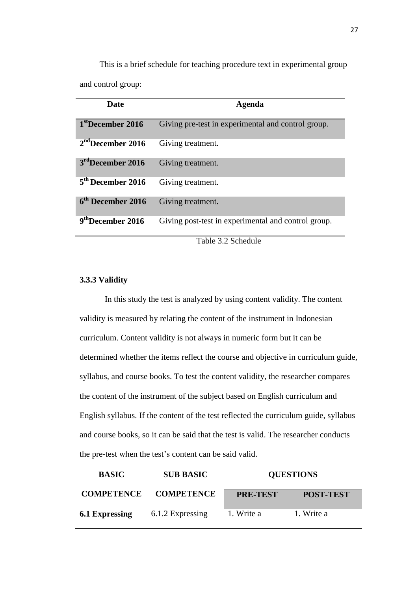This is a brief schedule for teaching procedure text in experimental group and control group:

| <b>Date</b>                   | Agenda                                              |
|-------------------------------|-----------------------------------------------------|
| 1 <sup>st</sup> December 2016 | Giving pre-test in experimental and control group.  |
| $2nd$ December 2016           | Giving treatment.                                   |
| $3rd$ December 2016           | Giving treatment.                                   |
| $5th$ December 2016           | Giving treatment.                                   |
| $6th$ December 2016           | Giving treatment.                                   |
| 9 <sup>th</sup> December 2016 | Giving post-test in experimental and control group. |

Table 3.2 Schedule

#### **3.3.3 Validity**

In this study the test is analyzed by using content validity. The content validity is measured by relating the content of the instrument in Indonesian curriculum. Content validity is not always in numeric form but it can be determined whether the items reflect the course and objective in curriculum guide, syllabus, and course books. To test the content validity, the researcher compares the content of the instrument of the subject based on English curriculum and English syllabus. If the content of the test reflected the curriculum guide, syllabus and course books, so it can be said that the test is valid. The researcher conducts the pre-test when the test's content can be said valid.

| <b>BASIC</b>      | <b>SUB BASIC</b>  |                 | <b>QUESTIONS</b> |  |
|-------------------|-------------------|-----------------|------------------|--|
| <b>COMPETENCE</b> | <b>COMPETENCE</b> | <b>PRE-TEST</b> | <b>POST-TEST</b> |  |
| 6.1 Expressing    | 6.1.2 Expressing  | 1. Write a      | 1. Write a       |  |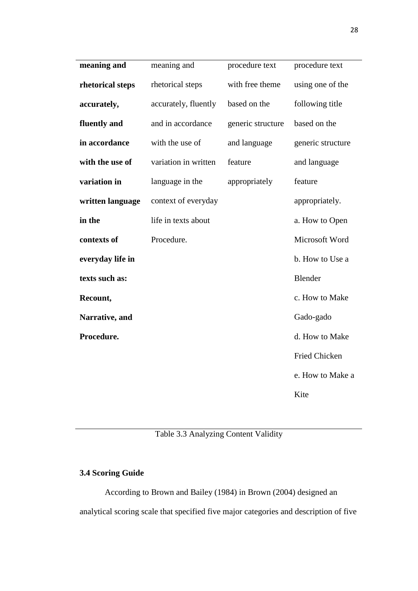| meaning and                             | meaning and          | procedure text    | procedure text    |
|-----------------------------------------|----------------------|-------------------|-------------------|
| rhetorical steps                        | rhetorical steps     | with free theme   | using one of the  |
| accurately,                             | accurately, fluently | based on the      | following title   |
| fluently and<br>and in accordance       |                      | generic structure | based on the      |
| in accordance                           | with the use of      | and language      | generic structure |
| with the use of<br>variation in written |                      | feature           | and language      |
| variation in                            | language in the      | appropriately     | feature           |
| written language                        | context of everyday  |                   | appropriately.    |
| in the                                  | life in texts about  |                   | a. How to Open    |
| contexts of                             | Procedure.           |                   | Microsoft Word    |
| everyday life in                        |                      |                   | b. How to Use a   |
| texts such as:                          |                      |                   | Blender           |
| Recount,                                |                      |                   | c. How to Make    |
| Narrative, and                          |                      |                   | Gado-gado         |
| Procedure.                              |                      |                   | d. How to Make    |
|                                         |                      |                   | Fried Chicken     |
|                                         |                      |                   | e. How to Make a  |
|                                         |                      |                   | Kite              |

Table 3.3 Analyzing Content Validity

# **3.4 Scoring Guide**

According to Brown and Bailey (1984) in Brown (2004) designed an analytical scoring scale that specified five major categories and description of five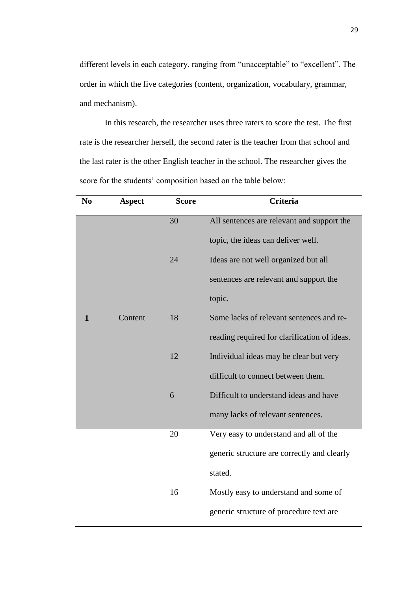different levels in each category, ranging from "unacceptable" to "excellent". The order in which the five categories (content, organization, vocabulary, grammar, and mechanism).

In this research, the researcher uses three raters to score the test. The first rate is the researcher herself, the second rater is the teacher from that school and the last rater is the other English teacher in the school. The researcher gives the score for the students' composition based on the table below:

| N <sub>0</sub> | <b>Aspect</b> | <b>Score</b> | <b>Criteria</b>                              |
|----------------|---------------|--------------|----------------------------------------------|
|                |               | 30           | All sentences are relevant and support the   |
|                |               |              | topic, the ideas can deliver well.           |
|                |               | 24           | Ideas are not well organized but all         |
|                |               |              | sentences are relevant and support the       |
|                |               |              | topic.                                       |
| $\mathbf 1$    | Content       | 18           | Some lacks of relevant sentences and re-     |
|                |               |              | reading required for clarification of ideas. |
|                |               | 12           | Individual ideas may be clear but very       |
|                |               |              | difficult to connect between them.           |
|                |               | 6            | Difficult to understand ideas and have       |
|                |               |              | many lacks of relevant sentences.            |
|                |               | 20           | Very easy to understand and all of the       |
|                |               |              | generic structure are correctly and clearly  |
|                |               |              | stated.                                      |
|                |               | 16           | Mostly easy to understand and some of        |
|                |               |              | generic structure of procedure text are      |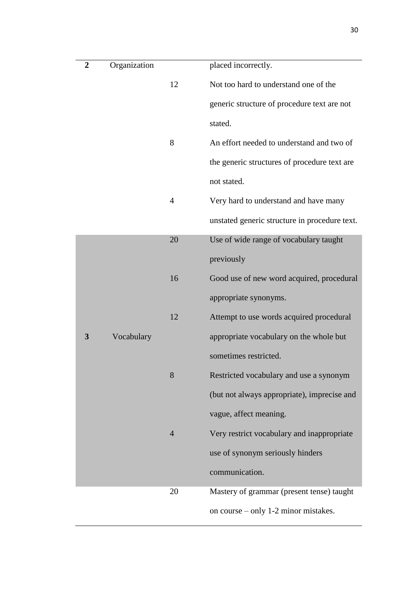| $\overline{2}$ | Organization |                | placed incorrectly.                           |
|----------------|--------------|----------------|-----------------------------------------------|
|                |              | 12             | Not too hard to understand one of the         |
|                |              |                | generic structure of procedure text are not   |
|                |              |                | stated.                                       |
|                |              | 8              | An effort needed to understand and two of     |
|                |              |                | the generic structures of procedure text are  |
|                |              |                | not stated.                                   |
|                |              | $\overline{4}$ | Very hard to understand and have many         |
|                |              |                | unstated generic structure in procedure text. |
|                |              | 20             | Use of wide range of vocabulary taught        |
|                |              |                | previously                                    |
|                |              | 16             | Good use of new word acquired, procedural     |
|                |              |                | appropriate synonyms.                         |
|                |              | 12             | Attempt to use words acquired procedural      |
| 3              | Vocabulary   |                | appropriate vocabulary on the whole but       |
|                |              |                | sometimes restricted.                         |
|                |              | 8              | Restricted vocabulary and use a synonym       |
|                |              |                | (but not always appropriate), imprecise and   |
|                |              |                | vague, affect meaning.                        |
|                |              | $\overline{4}$ | Very restrict vocabulary and inappropriate    |
|                |              |                | use of synonym seriously hinders              |
|                |              |                | communication.                                |
|                |              | 20             | Mastery of grammar (present tense) taught     |
|                |              |                | on course – only 1-2 minor mistakes.          |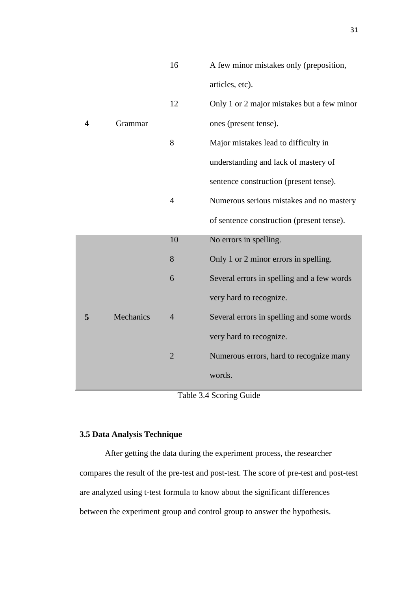|   |           | 16             | A few minor mistakes only (preposition,    |
|---|-----------|----------------|--------------------------------------------|
|   |           |                | articles, etc).                            |
|   |           | 12             | Only 1 or 2 major mistakes but a few minor |
| 4 | Grammar   |                | ones (present tense).                      |
|   |           | 8              | Major mistakes lead to difficulty in       |
|   |           |                | understanding and lack of mastery of       |
|   |           |                | sentence construction (present tense).     |
|   |           | $\overline{4}$ | Numerous serious mistakes and no mastery   |
|   |           |                | of sentence construction (present tense).  |
|   |           | 10             | No errors in spelling.                     |
|   |           | 8              | Only 1 or 2 minor errors in spelling.      |
|   |           | 6              | Several errors in spelling and a few words |
|   |           |                | very hard to recognize.                    |
| 5 | Mechanics | $\overline{4}$ | Several errors in spelling and some words  |
|   |           |                | very hard to recognize.                    |
|   |           | $\overline{2}$ | Numerous errors, hard to recognize many    |
|   |           |                | words.                                     |

Table 3.4 Scoring Guide

# **3.5 Data Analysis Technique**

After getting the data during the experiment process, the researcher compares the result of the pre-test and post-test. The score of pre-test and post-test are analyzed using t-test formula to know about the significant differences between the experiment group and control group to answer the hypothesis.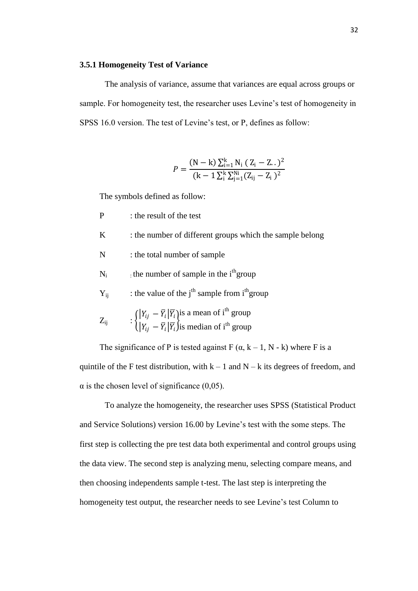#### **3.5.1 Homogeneity Test of Variance**

The analysis of variance, assume that variances are equal across groups or sample. For homogeneity test, the researcher uses Levine's test of homogeneity in SPSS 16.0 version. The test of Levine's test, or P, defines as follow:

$$
P = \frac{(N - k) \sum_{i=1}^{k} N_i (Z_i - Z..)^2}{(k - 1 \sum_{i=1}^{k} \sum_{j=1}^{N_i} (Z_{ij} - Z_i)^2}
$$

The symbols defined as follow:

- P : the result of the test
- K : the number of different groups which the sample belong
- N : the total number of sample
- $N_i$  the number of sample in the i<sup>th</sup> group
- $Y_{ii}$  : the value of the j<sup>th</sup> sample from i<sup>th</sup> group
- $Z_{ii}$  $|Y_{ij} - \bar{Y}_i| \bar{Y}_i$  $\overline{Y}_{ij} - \overline{Y}_i \overline{Y}_i$ is a mean of i<sup>th</sup> group is median of  $i<sup>th</sup>$  group

The significance of P is tested against F  $(\alpha, k - 1, N - k)$  where F is a quintile of the F test distribution, with  $k - 1$  and  $N - k$  its degrees of freedom, and  $\alpha$  is the chosen level of significance (0,05).

To analyze the homogeneity, the researcher uses SPSS (Statistical Product and Service Solutions) version 16.00 by Levine's test with the some steps. The first step is collecting the pre test data both experimental and control groups using the data view. The second step is analyzing menu, selecting compare means, and then choosing independents sample t-test. The last step is interpreting the homogeneity test output, the researcher needs to see Levine's test Column to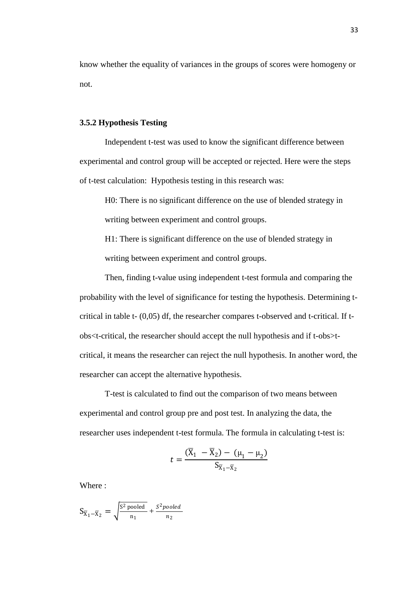know whether the equality of variances in the groups of scores were homogeny or not.

#### **3.5.2 Hypothesis Testing**

Independent t-test was used to know the significant difference between experimental and control group will be accepted or rejected. Here were the steps of t-test calculation: Hypothesis testing in this research was:

H0: There is no significant difference on the use of blended strategy in writing between experiment and control groups.

H1: There is significant difference on the use of blended strategy in writing between experiment and control groups.

Then, finding t-value using independent t-test formula and comparing the probability with the level of significance for testing the hypothesis. Determining tcritical in table t- (0,05) df, the researcher compares t-observed and t-critical. If tobs<t-critical, the researcher should accept the null hypothesis and if t-obs>tcritical, it means the researcher can reject the null hypothesis. In another word, the researcher can accept the alternative hypothesis.

T-test is calculated to find out the comparison of two means between experimental and control group pre and post test. In analyzing the data, the researcher uses independent t-test formula. The formula in calculating t-test is:

$$
t = \frac{(\overline{X}_1 - \overline{X}_2) - (\mu_1 - \mu_2)}{S_{\overline{X}_1 - \overline{X}_2}}
$$

Where :

$$
S_{\overline{X}_1 - \overline{X}_2} = \sqrt{\frac{S^2 \text{ pooled}}{n_1}} + \frac{S^2 \text{pooled}}{n_2}
$$